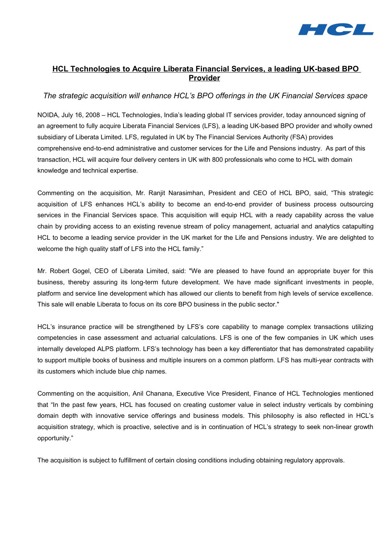

# **HCL Technologies to Acquire Liberata Financial Services, a leading UK-based BPO Provider**

## *The strategic acquisition will enhance HCL's BPO offerings in the UK Financial Services space*

NOIDA, July 16, 2008 – HCL Technologies, India's leading global IT services provider, today announced signing of an agreement to fully acquire Liberata Financial Services (LFS), a leading UK-based BPO provider and wholly owned subsidiary of Liberata Limited. LFS, regulated in UK by The Financial Services Authority (FSA) provides comprehensive end-to-end administrative and customer services for the Life and Pensions industry. As part of this transaction, HCL will acquire four delivery centers in UK with 800 professionals who come to HCL with domain knowledge and technical expertise.

Commenting on the acquisition, Mr. Ranjit Narasimhan, President and CEO of HCL BPO, said, "This strategic acquisition of LFS enhances HCL's ability to become an end-to-end provider of business process outsourcing services in the Financial Services space. This acquisition will equip HCL with a ready capability across the value chain by providing access to an existing revenue stream of policy management, actuarial and analytics catapulting HCL to become a leading service provider in the UK market for the Life and Pensions industry. We are delighted to welcome the high quality staff of LFS into the HCL family."

Mr. Robert Gogel, CEO of Liberata Limited, said: "We are pleased to have found an appropriate buyer for this business, thereby assuring its long-term future development. We have made significant investments in people, platform and service line development which has allowed our clients to benefit from high levels of service excellence. This sale will enable Liberata to focus on its core BPO business in the public sector."

HCL's insurance practice will be strengthened by LFS's core capability to manage complex transactions utilizing competencies in case assessment and actuarial calculations. LFS is one of the few companies in UK which uses internally developed ALPS platform. LFS's technology has been a key differentiator that has demonstrated capability to support multiple books of business and multiple insurers on a common platform. LFS has multi-year contracts with its customers which include blue chip names.

Commenting on the acquisition, Anil Chanana, Executive Vice President, Finance of HCL Technologies mentioned that "In the past few years, HCL has focused on creating customer value in select industry verticals by combining domain depth with innovative service offerings and business models. This philosophy is also reflected in HCL's acquisition strategy, which is proactive, selective and is in continuation of HCL's strategy to seek non-linear growth opportunity."

The acquisition is subject to fulfillment of certain closing conditions including obtaining regulatory approvals.